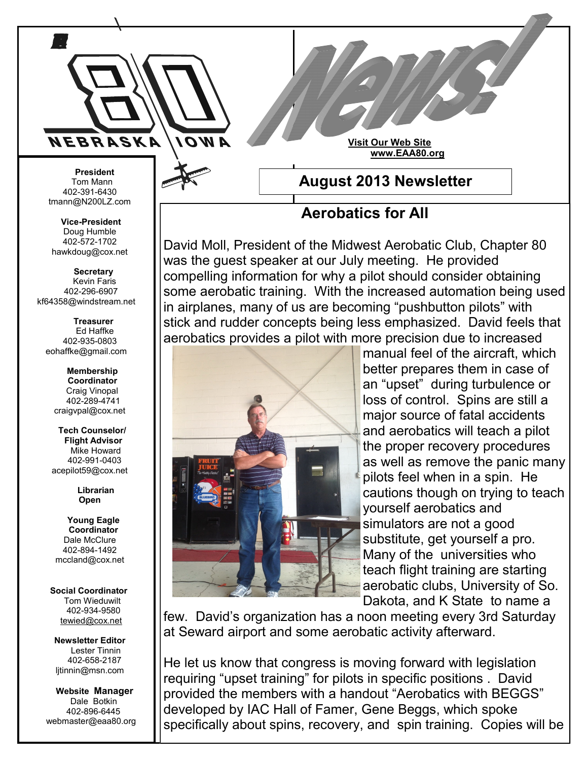

**Visit Our Web Site www.EAA80.org**

 **President** Tom Mann 402-391-6430 tmann@N200LZ.com

**Vice-President** Doug Humble 402-572-1702 hawkdoug@cox.net

 **Secretary** Kevin Faris 402-296-6907 kf64358@windstream.net

 **Treasurer** Ed Haffke 402-935-0803 eohaffke@gmail.com

> **Membership Coordinator** Craig Vinopal 402-289-4741 craigvpal@cox.net

 **Tech Counselor/ Flight Advisor** Mike Howard 402-991-0403 acepilot59@cox.net

> **Librarian Open**

 **Young Eagle Coordinator** Dale McClure 402-894-1492 mccland@cox.net

 **Social Coordinator** Tom Wieduwilt 402-934-9580 [tewied@cox.net](javascript:parent.wgMail.openComposeWindow()

**Newsletter Editor** Lester Tinnin 402-658-2187 ljtinnin@msn.com

 **Website Manager** Dale Botkin 402-896-6445 webmaster@eaa80.org **August 2013 Newsletter**

## **Aerobatics for All**

David Moll, President of the Midwest Aerobatic Club, Chapter 80 was the guest speaker at our July meeting. He provided compelling information for why a pilot should consider obtaining some aerobatic training. With the increased automation being used in airplanes, many of us are becoming "pushbutton pilots" with stick and rudder concepts being less emphasized. David feels that aerobatics provides a pilot with more precision due to increased



manual feel of the aircraft, which better prepares them in case of an "upset" during turbulence or loss of control. Spins are still a major source of fatal accidents and aerobatics will teach a pilot the proper recovery procedures as well as remove the panic many pilots feel when in a spin. He cautions though on trying to teach yourself aerobatics and simulators are not a good substitute, get yourself a pro. Many of the universities who teach flight training are starting aerobatic clubs, University of So. Dakota, and K State to name a

few. David's organization has a noon meeting every 3rd Saturday at Seward airport and some aerobatic activity afterward.

He let us know that congress is moving forward with legislation requiring "upset training" for pilots in specific positions . David provided the members with a handout "Aerobatics with BEGGS" developed by IAC Hall of Famer, Gene Beggs, which spoke specifically about spins, recovery, and spin training. Copies will be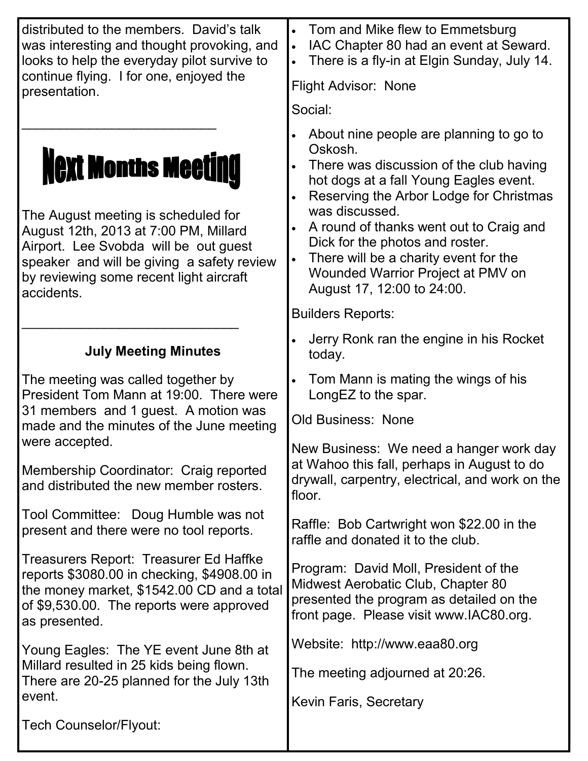| distributed to the members. David's talk<br>was interesting and thought provoking, and<br>looks to help the everyday pilot survive to<br>continue flying. I for one, enjoyed the                                                                           | Tom and Mike flew to Emmetsburg<br>$\bullet$<br>IAC Chapter 80 had an event at Seward.<br>$\bullet$<br>There is a fly-in at Elgin Sunday, July 14.<br><b>Flight Advisor: None</b>                                                                                                                                                                                                              |
|------------------------------------------------------------------------------------------------------------------------------------------------------------------------------------------------------------------------------------------------------------|------------------------------------------------------------------------------------------------------------------------------------------------------------------------------------------------------------------------------------------------------------------------------------------------------------------------------------------------------------------------------------------------|
| presentation.                                                                                                                                                                                                                                              | Social:                                                                                                                                                                                                                                                                                                                                                                                        |
| <b>Next Months Meeting</b><br>The August meeting is scheduled for<br>August 12th, 2013 at 7:00 PM, Millard<br>Airport. Lee Svobda will be out guest<br>speaker and will be giving a safety review<br>by reviewing some recent light aircraft<br>accidents. | About nine people are planning to go to<br>Oskosh.<br>There was discussion of the club having<br>hot dogs at a fall Young Eagles event.<br>Reserving the Arbor Lodge for Christmas<br>was discussed.<br>A round of thanks went out to Craig and<br>Dick for the photos and roster.<br>There will be a charity event for the<br>Wounded Warrior Project at PMV on<br>August 17, 12:00 to 24:00. |
|                                                                                                                                                                                                                                                            | <b>Builders Reports:</b>                                                                                                                                                                                                                                                                                                                                                                       |
| <b>July Meeting Minutes</b>                                                                                                                                                                                                                                | Jerry Ronk ran the engine in his Rocket<br>today.                                                                                                                                                                                                                                                                                                                                              |
| The meeting was called together by<br>President Tom Mann at 19:00. There were<br>31 members and 1 guest. A motion was<br>made and the minutes of the June meeting                                                                                          | Tom Mann is mating the wings of his<br>LongEZ to the spar.<br><b>Old Business: None</b>                                                                                                                                                                                                                                                                                                        |
| were accepted.<br>Membership Coordinator: Craig reported<br>and distributed the new member rosters.                                                                                                                                                        | New Business: We need a hanger work day<br>at Wahoo this fall, perhaps in August to do<br>drywall, carpentry, electrical, and work on the<br>floor.                                                                                                                                                                                                                                            |
| Tool Committee: Doug Humble was not<br>present and there were no tool reports.                                                                                                                                                                             | Raffle: Bob Cartwright won \$22.00 in the<br>raffle and donated it to the club.                                                                                                                                                                                                                                                                                                                |
| Treasurers Report: Treasurer Ed Haffke<br>reports \$3080.00 in checking, \$4908.00 in<br>the money market, \$1542.00 CD and a total<br>of \$9,530.00. The reports were approved<br>as presented.                                                           | Program: David Moll, President of the<br>Midwest Aerobatic Club, Chapter 80<br>presented the program as detailed on the<br>front page. Please visit www.IAC80.org.                                                                                                                                                                                                                             |
| Young Eagles: The YE event June 8th at                                                                                                                                                                                                                     | Website: http://www.eaa80.org                                                                                                                                                                                                                                                                                                                                                                  |
| Millard resulted in 25 kids being flown.<br>There are 20-25 planned for the July 13th<br>event.                                                                                                                                                            | The meeting adjourned at 20:26.                                                                                                                                                                                                                                                                                                                                                                |
|                                                                                                                                                                                                                                                            | Kevin Faris, Secretary                                                                                                                                                                                                                                                                                                                                                                         |
| <b>Tech Counselor/Flyout:</b>                                                                                                                                                                                                                              |                                                                                                                                                                                                                                                                                                                                                                                                |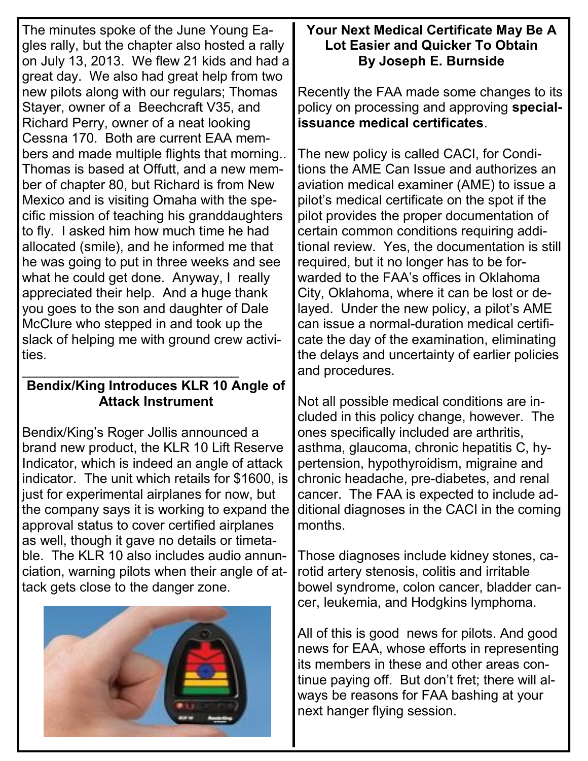The minutes spoke of the June Young Eagles rally, but the chapter also hosted a rally on July 13, 2013. We flew 21 kids and had a great day. We also had great help from two new pilots along with our regulars; Thomas Stayer, owner of a Beechcraft V35, and Richard Perry, owner of a neat looking Cessna 170. Both are current EAA members and made multiple flights that morning.. Thomas is based at Offutt, and a new member of chapter 80, but Richard is from New Mexico and is visiting Omaha with the specific mission of teaching his granddaughters to fly. I asked him how much time he had allocated (smile), and he informed me that he was going to put in three weeks and see what he could get done. Anyway, I really appreciated their help. And a huge thank you goes to the son and daughter of Dale McClure who stepped in and took up the slack of helping me with ground crew activities.

## \_\_\_\_\_\_\_\_\_\_\_\_\_\_\_\_\_\_\_\_\_\_\_\_\_\_\_\_\_ **Bendix/King Introduces KLR 10 Angle of Attack Instrument**

Bendix/King's Roger Jollis announced a brand new product, the KLR 10 Lift Reserve Indicator, which is indeed an angle of attack indicator. The unit which retails for \$1600, is just for experimental airplanes for now, but the company says it is working to expand the approval status to cover certified airplanes as well, though it gave no details or timetable. The KLR 10 also includes audio annunciation, warning pilots when their angle of attack gets close to the danger zone.



## **Your Next Medical Certificate May Be A Lot Easier and Quicker To Obtain By Joseph E. Burnside**

Recently the FAA made some changes to its policy on processing and approving **specialissuance medical certificates**.

The new policy is called CACI, for Conditions the AME Can Issue and authorizes an aviation medical examiner (AME) to issue a pilot's medical certificate on the spot if the pilot provides the proper documentation of certain common conditions requiring additional review. Yes, the documentation is still required, but it no longer has to be forwarded to the FAA's offices in Oklahoma City, Oklahoma, where it can be lost or delayed. Under the new policy, a pilot's AME can issue a normal-duration medical certificate the day of the examination, eliminating the delays and uncertainty of earlier policies and procedures.

Not all possible medical conditions are included in this policy change, however. The ones specifically included are arthritis, asthma, glaucoma, chronic hepatitis C, hypertension, hypothyroidism, migraine and chronic headache, pre-diabetes, and renal cancer. The FAA is expected to include additional diagnoses in the CACI in the coming months.

Those diagnoses include kidney stones, carotid artery stenosis, colitis and irritable bowel syndrome, colon cancer, bladder cancer, leukemia, and Hodgkins lymphoma.

All of this is good news for pilots. And good news for EAA, whose efforts in representing its members in these and other areas continue paying off. But don't fret; there will always be reasons for FAA bashing at your next hanger flying session.